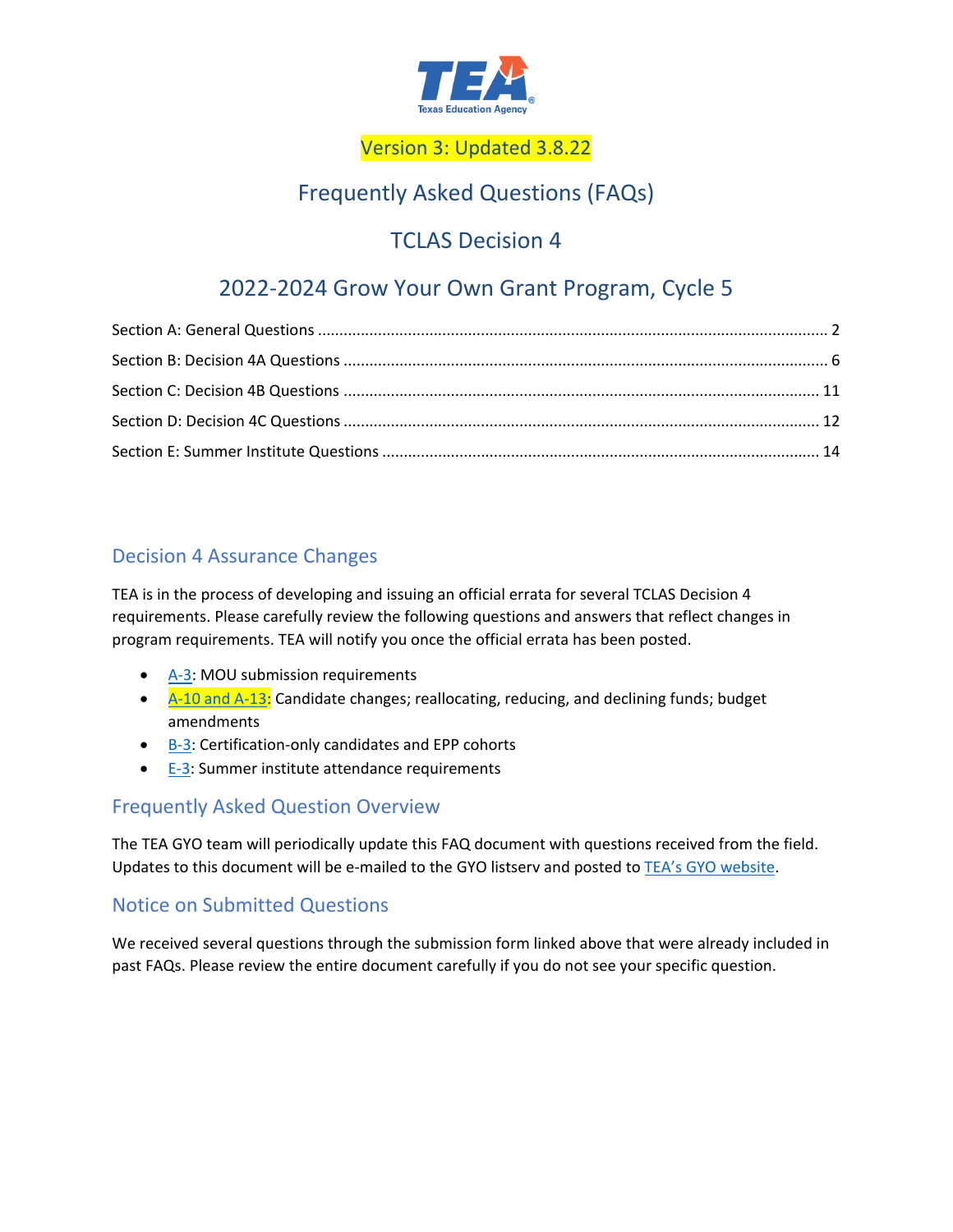

# Version 3: Updated 3.8.22

# Frequently Asked Questions (FAQs)

# TCLAS Decision 4

# 2022-2024 Grow Your Own Grant Program, Cycle 5

# Decision 4 Assurance Changes

TEA is in the process of developing and issuing an official errata for several TCLAS Decision 4 requirements. Please carefully review the following questions and answers that reflect changes in program requirements. TEA will notify you once the official errata has been posted.

- [A-3:](#page-1-0) MOU submission requirements
- A-10 and A-13: Candidate changes; reallocating, reducing, and declining funds; budget amendments
- B-3: Certification-only candidates and EPP cohorts
- E-3: Summer institute attendance requirements

# Frequently Asked Question Overview

The TEA GYO team will periodically update this FAQ document with questions received from the field. Updates to this document will be e-mailed to the GYO listserv and posted to [TEA's GYO website.](https://tea.texas.gov/texas-educators/educator-initiatives-and-performance/grow-your-own)

# Notice on Submitted Questions

We received several questions through the submission form linked above that were already included in past FAQs. Please review the entire document carefully if you do not see your specific question.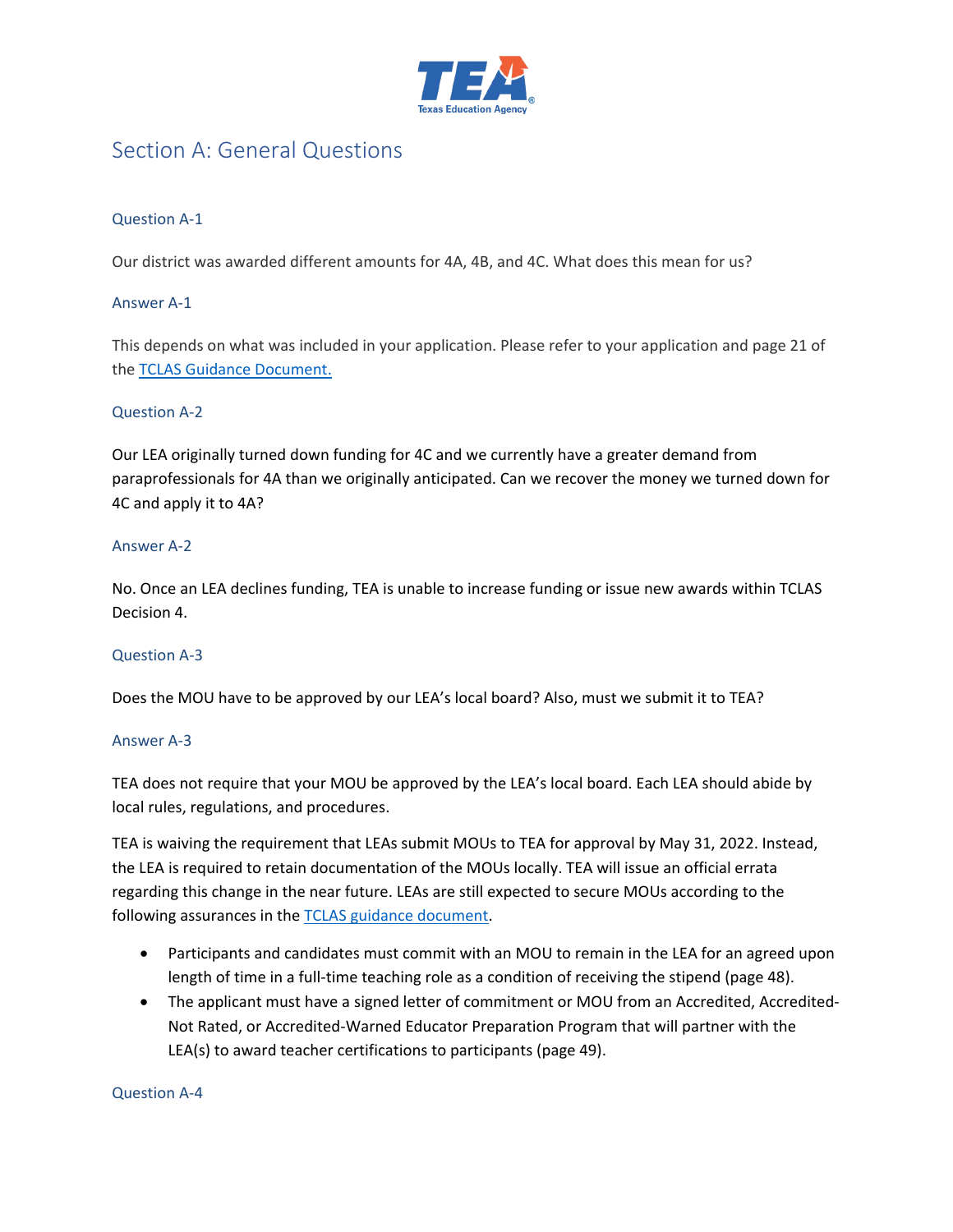

# <span id="page-1-0"></span>Section A: General Questions

# Question A-1

Our district was awarded different amounts for 4A, 4B, and 4C. What does this mean for us?

# Answer A-1

This depends on what was included in your application. Please refer to your application and page 21 of the [TCLAS Guidance Document.](https://tea.texas.gov/sites/default/files/covid/TCLAS-Guidance-Document.pdf)

#### Question A-2

Our LEA originally turned down funding for 4C and we currently have a greater demand from paraprofessionals for 4A than we originally anticipated. Can we recover the money we turned down for 4C and apply it to 4A?

#### Answer A-2

No. Once an LEA declines funding, TEA is unable to increase funding or issue new awards within TCLAS Decision 4.

# Question A-3

Does the MOU have to be approved by our LEA's local board? Also, must we submit it to TEA?

# Answer A-3

TEA does not require that your MOU be approved by the LEA's local board. Each LEA should abide by local rules, regulations, and procedures.

TEA is waiving the requirement that LEAs submit MOUs to TEA for approval by May 31, 2022. Instead, the LEA is required to retain documentation of the MOUs locally. TEA will issue an official errata regarding this change in the near future. LEAs are still expected to secure MOUs according to the following assurances in the [TCLAS guidance document.](https://tea.texas.gov/sites/default/files/covid/TCLAS-Guidance-Document.pdf)

- Participants and candidates must commit with an MOU to remain in the LEA for an agreed upon length of time in a full-time teaching role as a condition of receiving the stipend (page 48).
- The applicant must have a signed letter of commitment or MOU from an Accredited, Accredited-Not Rated, or Accredited-Warned Educator Preparation Program that will partner with the LEA(s) to award teacher certifications to participants (page 49).

Question A-4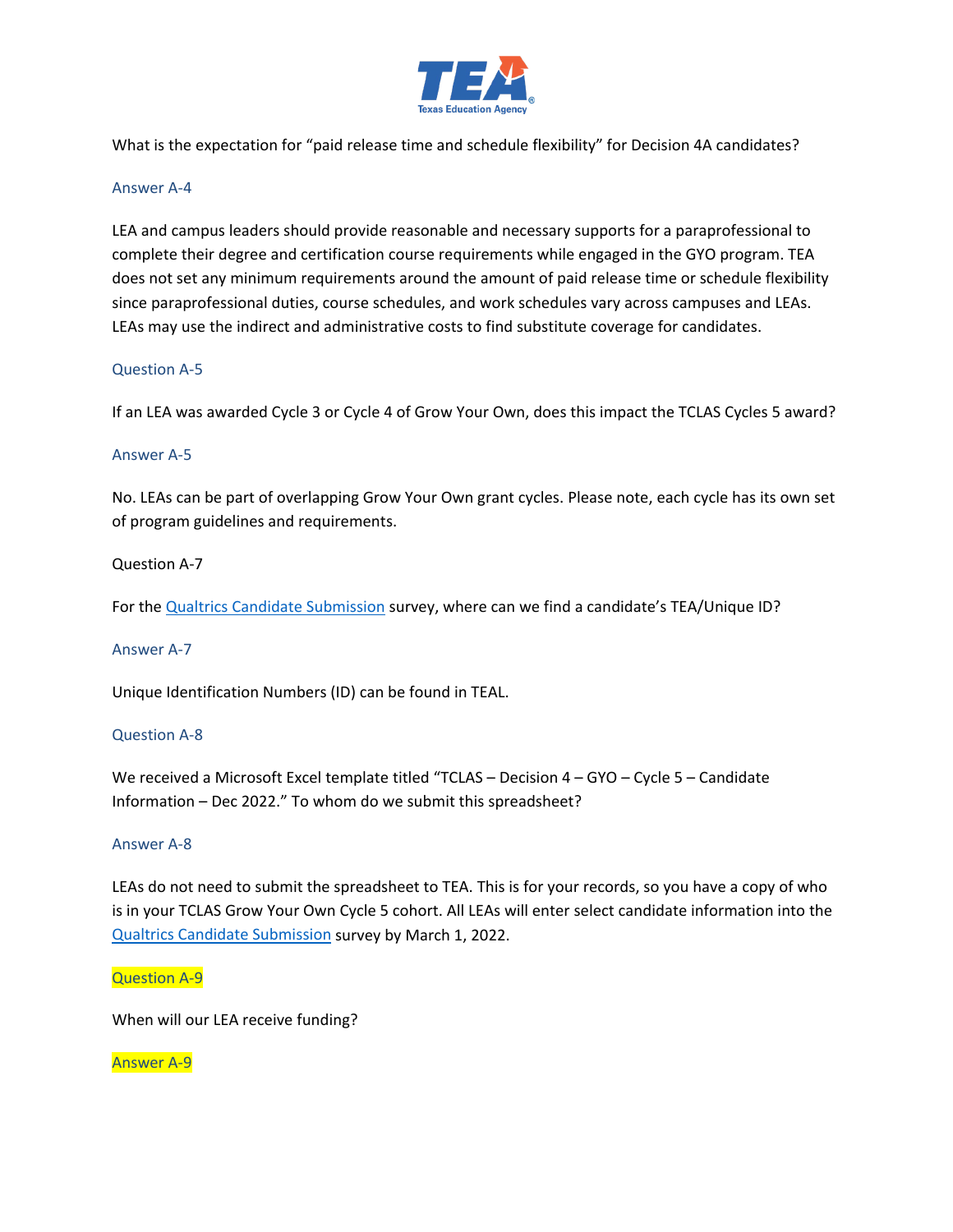

What is the expectation for "paid release time and schedule flexibility" for Decision 4A candidates?

#### Answer A-4

LEA and campus leaders should provide reasonable and necessary supports for a paraprofessional to complete their degree and certification course requirements while engaged in the GYO program. TEA does not set any minimum requirements around the amount of paid release time or schedule flexibility since paraprofessional duties, course schedules, and work schedules vary across campuses and LEAs. LEAs may use the indirect and administrative costs to find substitute coverage for candidates.

# Question A-5

If an LEA was awarded Cycle 3 or Cycle 4 of Grow Your Own, does this impact the TCLAS Cycles 5 award?

#### Answer A-5

No. LEAs can be part of overlapping Grow Your Own grant cycles. Please note, each cycle has its own set of program guidelines and requirements.

# Question A-7

For the Qualtrics [Candidate Submission](https://tea.co1.qualtrics.com/jfe/form/SV_dhTOXaUyRRov2om) survey, where can we find a candidate's TEA/Unique ID?

#### Answer A-7

Unique Identification Numbers (ID) can be found in TEAL.

# Question A-8

We received a Microsoft Excel template titled "TCLAS - Decision 4 - GYO - Cycle 5 - Candidate Information – Dec 2022." To whom do we submit this spreadsheet?

### Answer A-8

LEAs do not need to submit the spreadsheet to TEA. This is for your records, so you have a copy of who is in your TCLAS Grow Your Own Cycle 5 cohort. All LEAs will enter select candidate information into the [Qualtrics Candidate Submission](https://tea.co1.qualtrics.com/jfe/form/SV_dhTOXaUyRRov2om) survey by March 1, 2022.

#### Question A-9

When will our LEA receive funding?

#### Answer A-9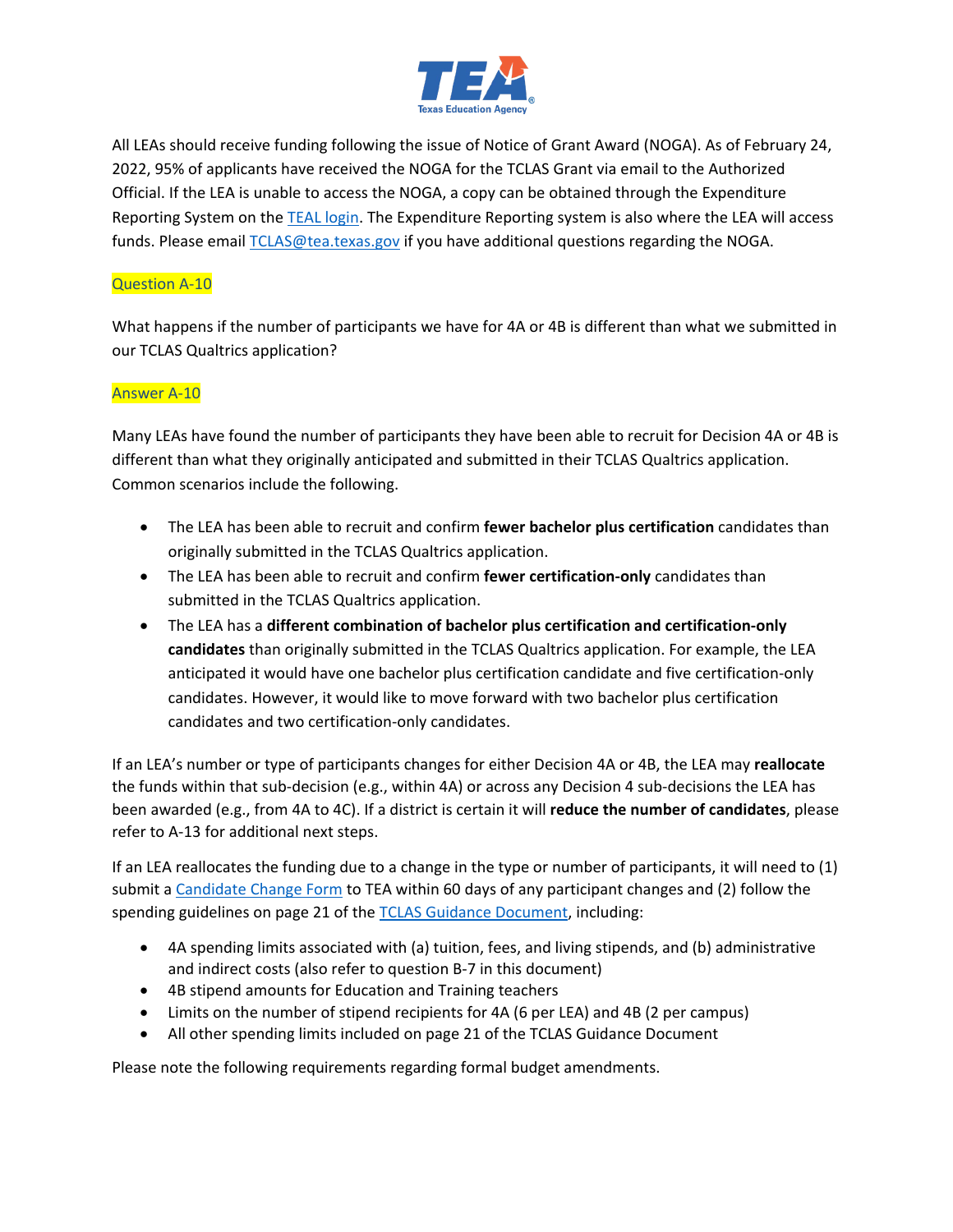

All LEAs should receive funding following the issue of Notice of Grant Award (NOGA). As of February 24, 2022, 95% of applicants have received the NOGA for the TCLAS Grant via email to the Authorized Official. If the LEA is unable to access the NOGA, a copy can be obtained through the Expenditure Reporting System on the [TEAL login.](https://tealprod.tea.state.tx.us/TSP/TEASecurePortal/Access/LogonServlet) The Expenditure Reporting system is also where the LEA will access funds. Please email [TCLAS@tea.texas.gov](mailto:TCLAS@tea.texas.gov) if you have additional questions regarding the NOGA.

# Question A-10

What happens if the number of participants we have for 4A or 4B is different than what we submitted in our TCLAS Qualtrics application?

# Answer A-10

Many LEAs have found the number of participants they have been able to recruit for Decision 4A or 4B is different than what they originally anticipated and submitted in their TCLAS Qualtrics application. Common scenarios include the following.

- The LEA has been able to recruit and confirm **fewer bachelor plus certification** candidates than originally submitted in the TCLAS Qualtrics application.
- The LEA has been able to recruit and confirm **fewer certification-only** candidates than submitted in the TCLAS Qualtrics application.
- The LEA has a **different combination of bachelor plus certification and certification-only candidates** than originally submitted in the TCLAS Qualtrics application. For example, the LEA anticipated it would have one bachelor plus certification candidate and five certification-only candidates. However, it would like to move forward with two bachelor plus certification candidates and two certification-only candidates.

If an LEA's number or type of participants changes for either Decision 4A or 4B, the LEA may **reallocate** the funds within that sub-decision (e.g., within 4A) or across any Decision 4 sub-decisions the LEA has been awarded (e.g., from 4A to 4C). If a district is certain it will **reduce the number of candidates**, please refer to A-13 for additional next steps.

If an LEA reallocates the funding due to a change in the type or number of participants, it will need to (1) submit a [Candidate Change Form](https://app.smartsheet.com/b/form/fe17a2cb5db84b579e36f938981c7ba8) to TEA within 60 days of any participant changes and (2) follow the spending guidelines on page 21 of the [TCLAS Guidance Document,](https://tea.texas.gov/sites/default/files/covid/TCLAS-Guidance-Document.pdf) including:

- 4A spending limits associated with (a) tuition, fees, and living stipends, and (b) administrative and indirect costs (also refer to question B-7 in this document)
- 4B stipend amounts for Education and Training teachers
- Limits on the number of stipend recipients for 4A (6 per LEA) and 4B (2 per campus)
- All other spending limits included on page 21 of the TCLAS Guidance Document

Please note the following requirements regarding formal budget amendments.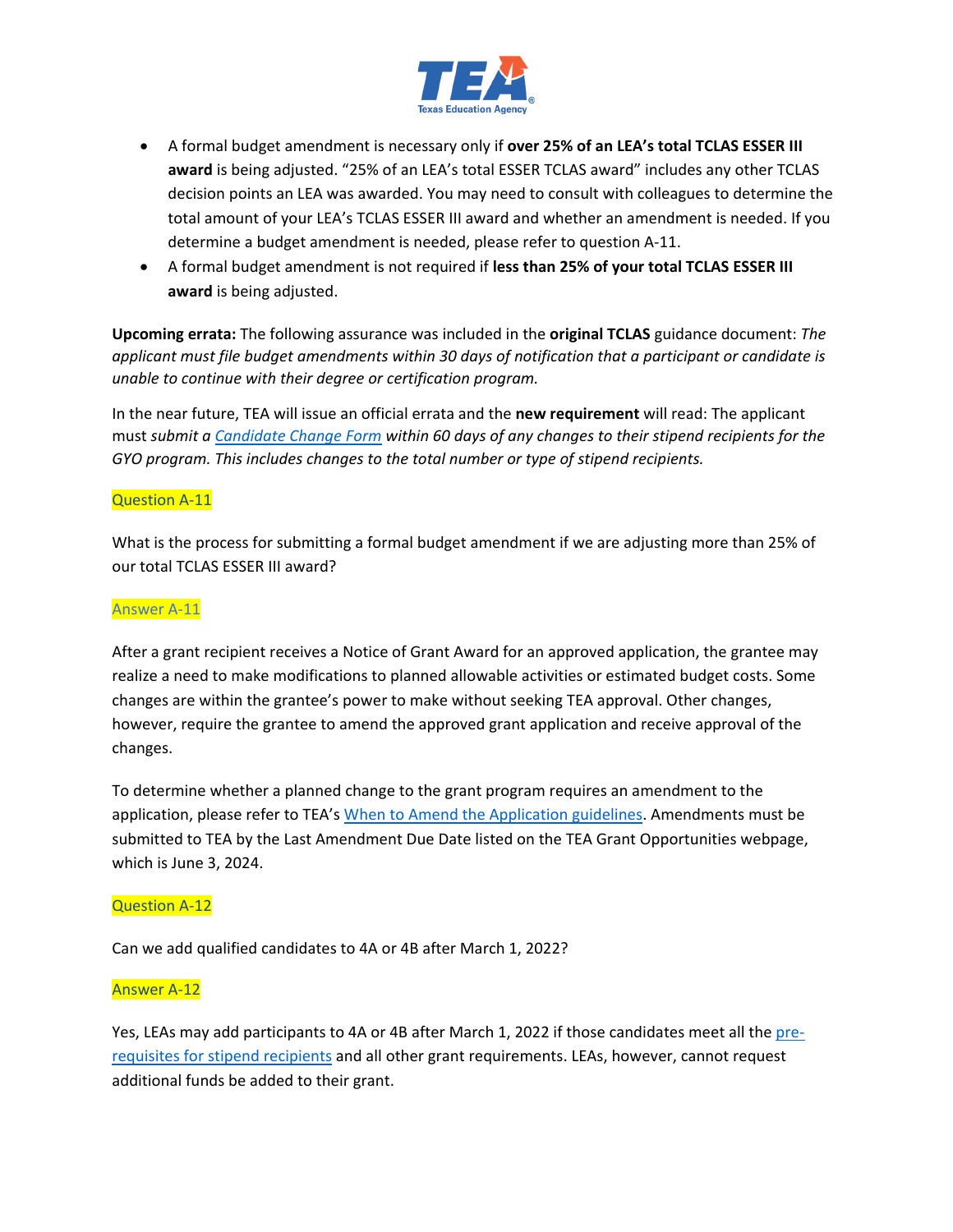

- A formal budget amendment is necessary only if **over 25% of an LEA's total TCLAS ESSER III award** is being adjusted. "25% of an LEA's total ESSER TCLAS award" includes any other TCLAS decision points an LEA was awarded. You may need to consult with colleagues to determine the total amount of your LEA's TCLAS ESSER III award and whether an amendment is needed. If you determine a budget amendment is needed, please refer to question A-11.
- A formal budget amendment is not required if **less than 25% of your total TCLAS ESSER III award** is being adjusted.

**Upcoming errata:** The following assurance was included in the **original TCLAS** guidance document: *The applicant must file budget amendments within 30 days of notification that a participant or candidate is unable to continue with their degree or certification program.*

In the near future, TEA will issue an official errata and the **new requirement** will read: The applicant must *submit a [Candidate Change Form](https://app.smartsheet.com/b/form/fe17a2cb5db84b579e36f938981c7ba8) within 60 days of any changes to their stipend recipients for the GYO program. This includes changes to the total number or type of stipend recipients.* 

#### Question A-11

What is the process for submitting a formal budget amendment if we are adjusting more than 25% of our total TCLAS ESSER III award?

#### Answer A-11

After a grant recipient receives a Notice of Grant Award for an approved application, the grantee may realize a need to make modifications to planned allowable activities or estimated budget costs. Some changes are within the grantee's power to make without seeking TEA approval. Other changes, however, require the grantee to amend the approved grant application and receive approval of the changes.

To determine whether a planned change to the grant program requires an amendment to the application, please refer to TEA's [When to Amend the Application guidelines.](https://tea.texas.gov/sites/default/files/when_to_amend_the_application_guidance.pdf) Amendments must be submitted to TEA by the Last Amendment Due Date listed on the TEA Grant Opportunities webpage, which is June 3, 2024.

#### Question A-12

Can we add qualified candidates to 4A or 4B after March 1, 2022?

#### Answer A-12

Yes, LEAs may add participants to 4A or 4B after March 1, 2022 if those candidates meet all th[e pre](https://tea.texas.gov/sites/default/files/gyo-stipend-recipient-pre-requisites.pdf)[requisites for stipend recipients](https://tea.texas.gov/sites/default/files/gyo-stipend-recipient-pre-requisites.pdf) and all other grant requirements. LEAs, however, cannot request additional funds be added to their grant.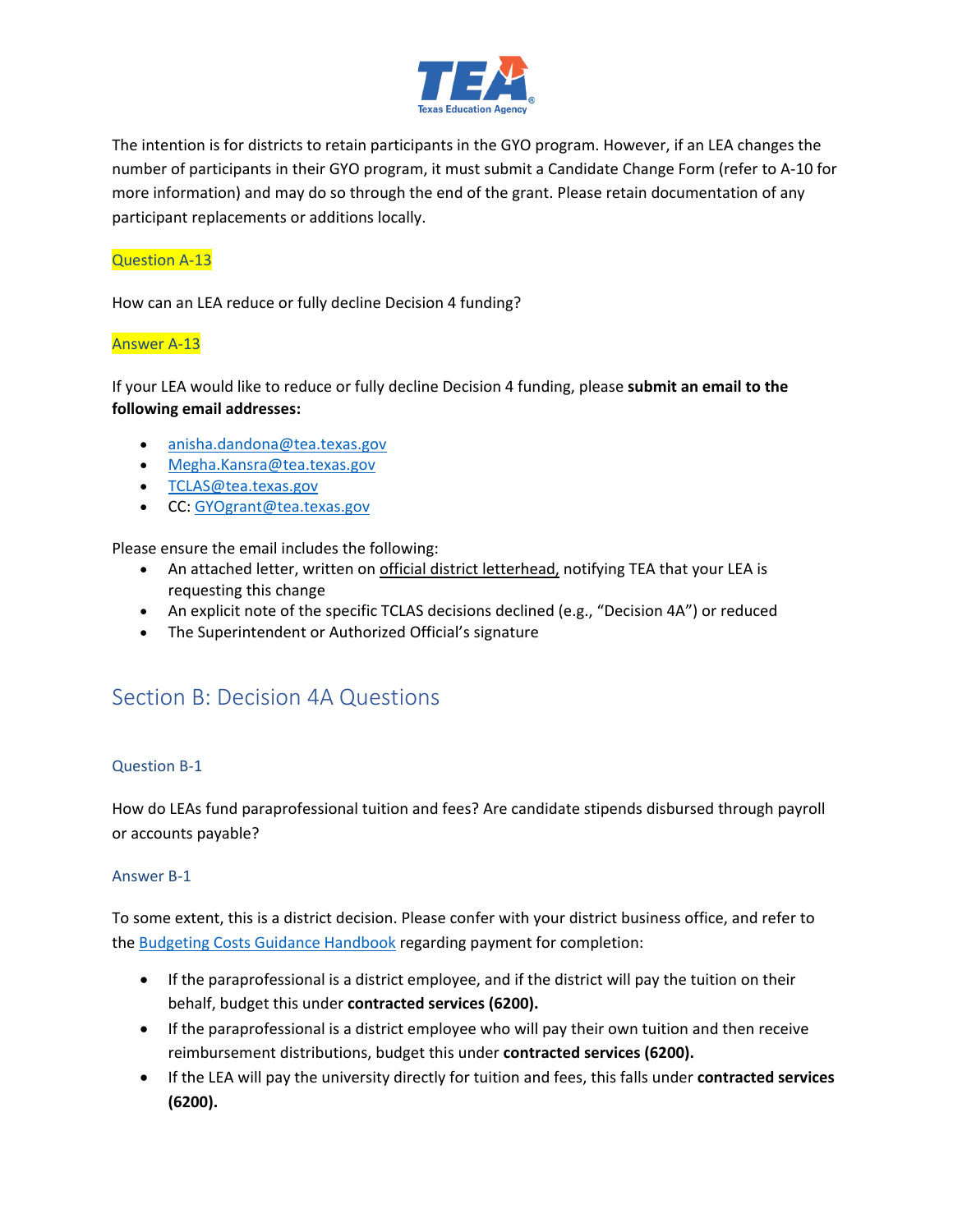

The intention is for districts to retain participants in the GYO program. However, if an LEA changes the number of participants in their GYO program, it must submit a Candidate Change Form (refer to A-10 for more information) and may do so through the end of the grant. Please retain documentation of any participant replacements or additions locally.

# Question A-13

How can an LEA reduce or fully decline Decision 4 funding?

# Answer A-13

If your LEA would like to reduce or fully decline Decision 4 funding, please **submit an email to the following email addresses:** 

- [anisha.dandona@tea.texas.gov](mailto:anisha.dandona@tea.texas.gov)
- [Megha.Kansra@tea.texas.gov](mailto:Megha.Kansra@tea.texas.gov)
- [TCLAS@tea.texas.gov](mailto:TCLAS@tea.texas.gov)
- CC: [GYOgrant@tea.texas.gov](mailto:GYOgrant@tea.texas.gov)

Please ensure the email includes the following:

- An attached letter, written on *official district letterhead*, notifying TEA that your LEA is requesting this change
- An explicit note of the specific TCLAS decisions declined (e.g., "Decision 4A") or reduced
- The Superintendent or Authorized Official's signature

# <span id="page-5-0"></span>Section B: Decision 4A Questions

# Question B-1

How do LEAs fund paraprofessional tuition and fees? Are candidate stipends disbursed through payroll or accounts payable?

# Answer B-1

To some extent, this is a district decision. Please confer with your district business office, and refer to the [Budgeting Costs Guidance Handbook](https://tea.texas.gov/sites/default/files/budgeting_costs_guidance_handbook.pdf) regarding payment for completion:

- If the paraprofessional is a district employee, and if the district will pay the tuition on their behalf, budget this under **contracted services (6200).**
- If the paraprofessional is a district employee who will pay their own tuition and then receive reimbursement distributions, budget this under **contracted services (6200).**
- If the LEA will pay the university directly for tuition and fees, this falls under **contracted services (6200).**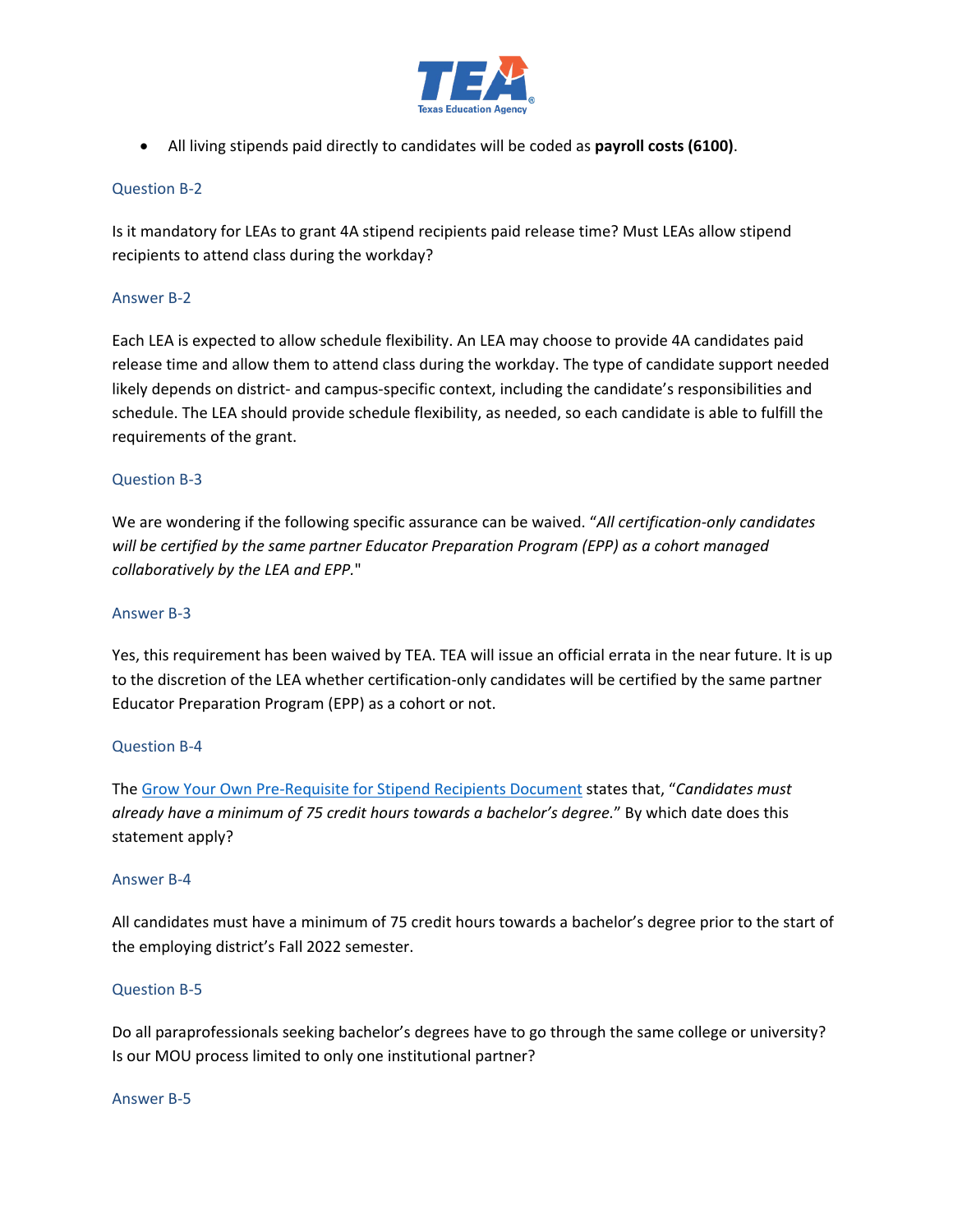

• All living stipends paid directly to candidates will be coded as **payroll costs (6100)**.

# Question B-2

Is it mandatory for LEAs to grant 4A stipend recipients paid release time? Must LEAs allow stipend recipients to attend class during the workday?

# Answer B-2

Each LEA is expected to allow schedule flexibility. An LEA may choose to provide 4A candidates paid release time and allow them to attend class during the workday. The type of candidate support needed likely depends on district- and campus-specific context, including the candidate's responsibilities and schedule. The LEA should provide schedule flexibility, as needed, so each candidate is able to fulfill the requirements of the grant.

#### Question B-3

We are wondering if the following specific assurance can be waived. "*All certification-only candidates will be certified by the same partner Educator Preparation Program (EPP) as a cohort managed collaboratively by the LEA and EPP.*"

#### Answer B-3

Yes, this requirement has been waived by TEA. TEA will issue an official errata in the near future. It is up to the discretion of the LEA whether certification-only candidates will be certified by the same partner Educator Preparation Program (EPP) as a cohort or not.

#### Question B-4

The [Grow Your Own Pre-Requisite for Stipend Recipients Document](https://tea.texas.gov/sites/default/files/gyo-stipend-recipient-pre-requisites.pdf) states that, "*Candidates must already have a minimum of 75 credit hours towards a bachelor's degree.*" By which date does this statement apply?

#### Answer B-4

All candidates must have a minimum of 75 credit hours towards a bachelor's degree prior to the start of the employing district's Fall 2022 semester.

#### Question B-5

Do all paraprofessionals seeking bachelor's degrees have to go through the same college or university? Is our MOU process limited to only one institutional partner?

#### Answer B-5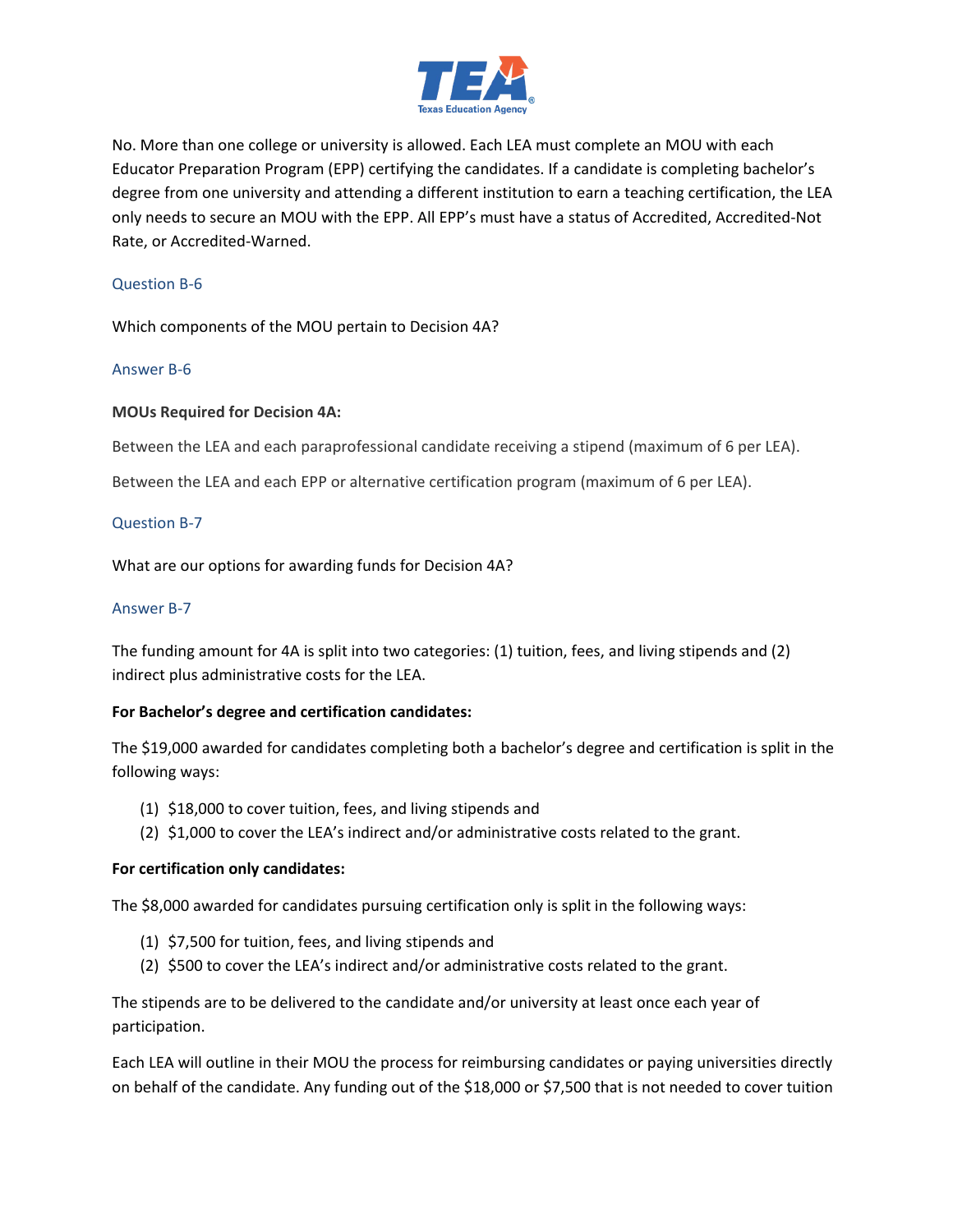

No. More than one college or university is allowed. Each LEA must complete an MOU with each Educator Preparation Program (EPP) certifying the candidates. If a candidate is completing bachelor's degree from one university and attending a different institution to earn a teaching certification, the LEA only needs to secure an MOU with the EPP. All EPP's must have a status of Accredited, Accredited-Not Rate, or Accredited-Warned.

# Question B-6

Which components of the MOU pertain to Decision 4A?

#### Answer B-6

#### **MOUs Required for Decision 4A:**

Between the LEA and each paraprofessional candidate receiving a stipend (maximum of 6 per LEA).

Between the LEA and each EPP or alternative certification program (maximum of 6 per LEA).

#### Question B-7

What are our options for awarding funds for Decision 4A?

#### Answer B-7

The funding amount for 4A is split into two categories: (1) tuition, fees, and living stipends and (2) indirect plus administrative costs for the LEA.

#### **For Bachelor's degree and certification candidates:**

The \$19,000 awarded for candidates completing both a bachelor's degree and certification is split in the following ways:

- (1) \$18,000 to cover tuition, fees, and living stipends and
- (2) \$1,000 to cover the LEA's indirect and/or administrative costs related to the grant.

#### **For certification only candidates:**

The \$8,000 awarded for candidates pursuing certification only is split in the following ways:

- (1) \$7,500 for tuition, fees, and living stipends and
- (2) \$500 to cover the LEA's indirect and/or administrative costs related to the grant.

The stipends are to be delivered to the candidate and/or university at least once each year of participation.

Each LEA will outline in their MOU the process for reimbursing candidates or paying universities directly on behalf of the candidate. Any funding out of the \$18,000 or \$7,500 that is not needed to cover tuition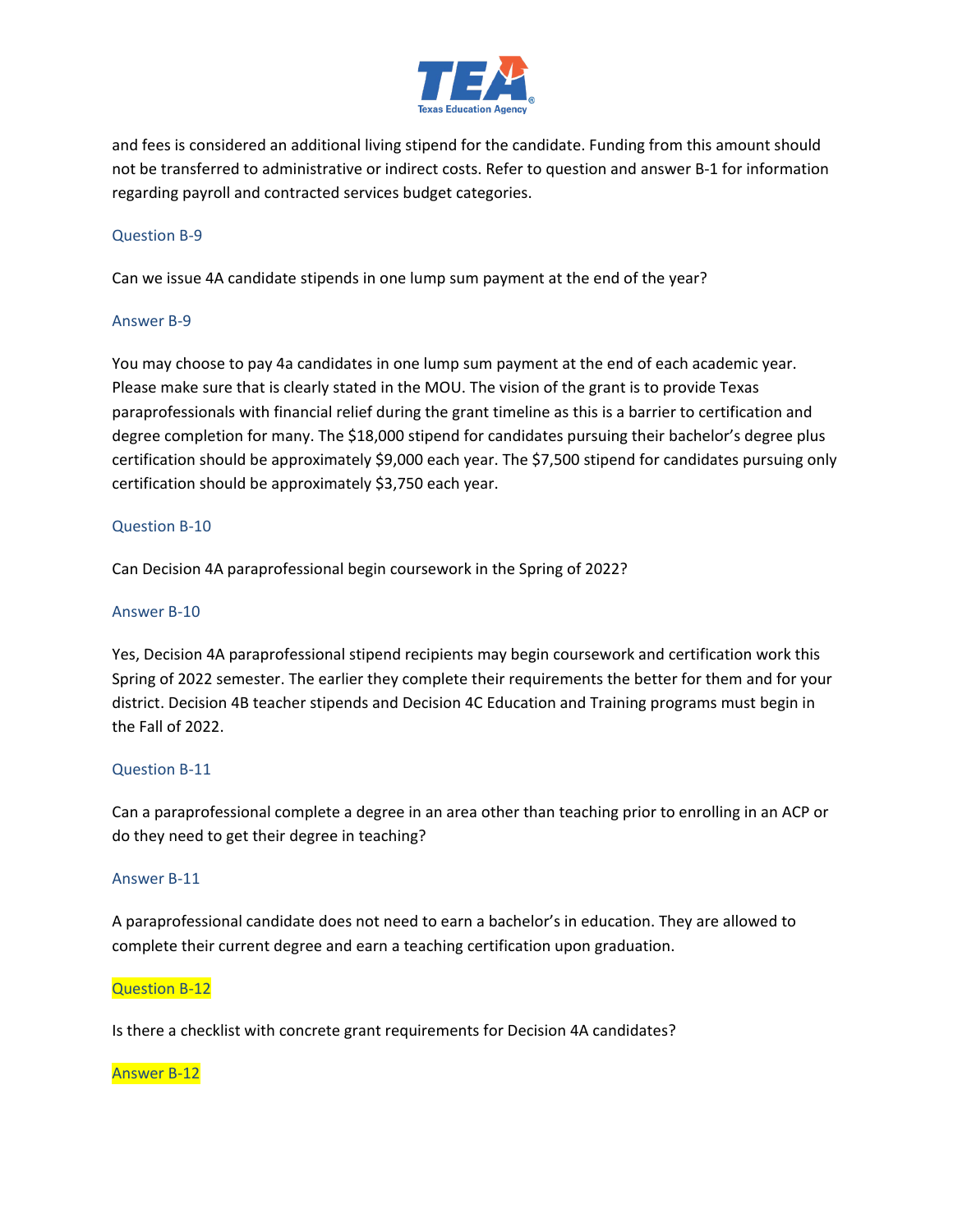

and fees is considered an additional living stipend for the candidate. Funding from this amount should not be transferred to administrative or indirect costs. Refer to question and answer B-1 for information regarding payroll and contracted services budget categories.

# Question B-9

Can we issue 4A candidate stipends in one lump sum payment at the end of the year?

# Answer B-9

You may choose to pay 4a candidates in one lump sum payment at the end of each academic year. Please make sure that is clearly stated in the MOU. The vision of the grant is to provide Texas paraprofessionals with financial relief during the grant timeline as this is a barrier to certification and degree completion for many. The \$18,000 stipend for candidates pursuing their bachelor's degree plus certification should be approximately \$9,000 each year. The \$7,500 stipend for candidates pursuing only certification should be approximately \$3,750 each year.

# Question B-10

Can Decision 4A paraprofessional begin coursework in the Spring of 2022?

### Answer B-10

Yes, Decision 4A paraprofessional stipend recipients may begin coursework and certification work this Spring of 2022 semester. The earlier they complete their requirements the better for them and for your district. Decision 4B teacher stipends and Decision 4C Education and Training programs must begin in the Fall of 2022.

# Question B-11

Can a paraprofessional complete a degree in an area other than teaching prior to enrolling in an ACP or do they need to get their degree in teaching?

#### Answer B-11

A paraprofessional candidate does not need to earn a bachelor's in education. They are allowed to complete their current degree and earn a teaching certification upon graduation.

#### Question B-12

Is there a checklist with concrete grant requirements for Decision 4A candidates?

#### Answer B-12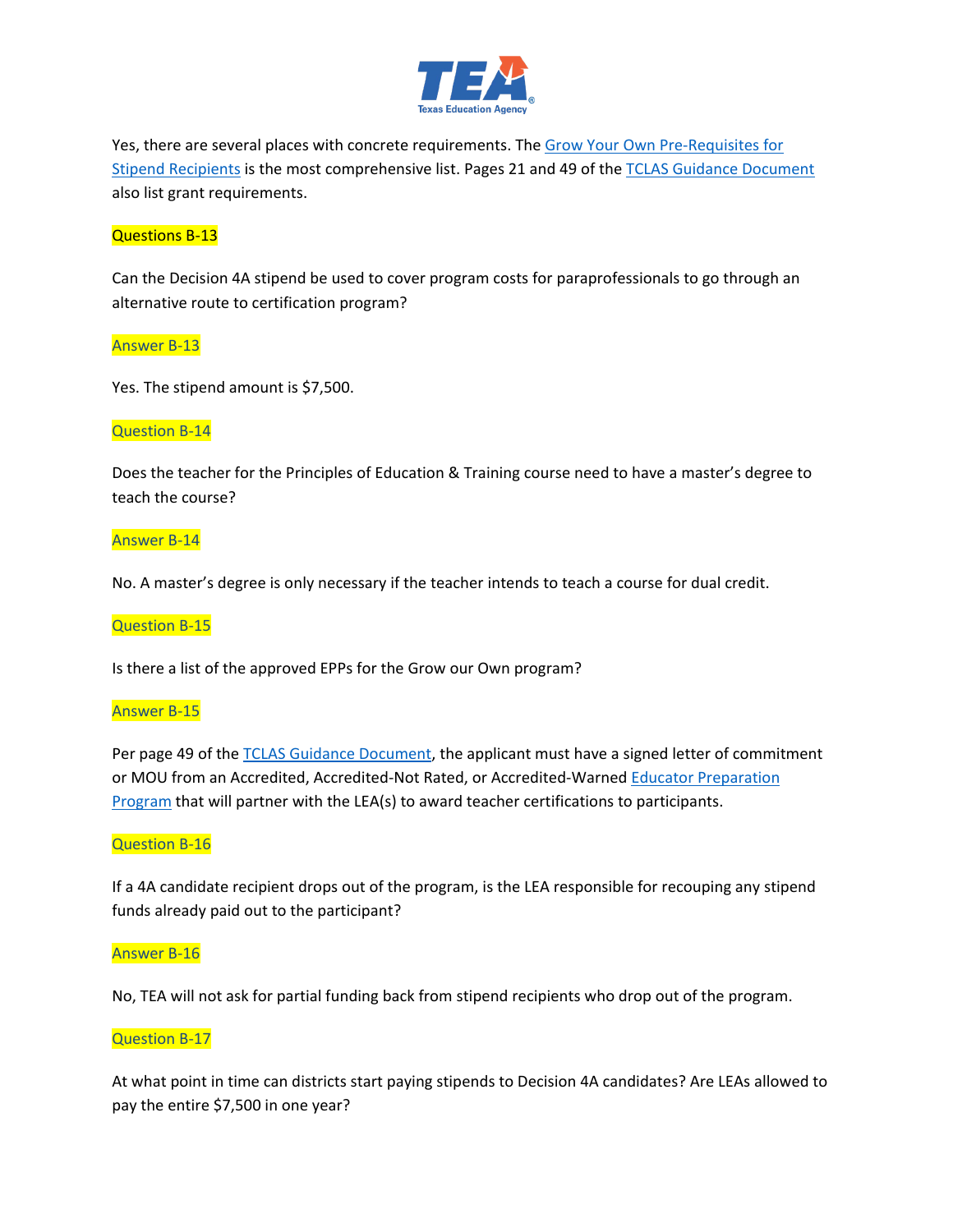

Yes, there are several places with concrete requirements. The [Grow Your Own Pre-Requisites for](https://tea.texas.gov/sites/default/files/gyo-stipend-recipient-pre-requisites.pdf)  [Stipend Recipients](https://tea.texas.gov/sites/default/files/gyo-stipend-recipient-pre-requisites.pdf) is the most comprehensive list. Pages 21 and 49 of the [TCLAS Guidance Document](https://tea.texas.gov/sites/default/files/covid/TCLAS-Guidance-Document.pdf) also list grant requirements.

# Questions B-13

Can the Decision 4A stipend be used to cover program costs for paraprofessionals to go through an alternative route to certification program?

#### Answer B-13

Yes. The stipend amount is \$7,500.

#### Question B-14

Does the teacher for the Principles of Education & Training course need to have a master's degree to teach the course?

#### Answer B-14

No. A master's degree is only necessary if the teacher intends to teach a course for dual credit.

#### Question B-15

Is there a list of the approved EPPs for the Grow our Own program?

#### Answer B-15

Per page 49 of the [TCLAS Guidance Document,](https://texasedu-my.sharepoint.com/personal/ronald_coleman_tea_texas_gov/Documents/Desktop/cover---standard-edition.jpg) the applicant must have a signed letter of commitment or MOU from an Accredited, Accredited-Not Rated, or Accredited-Warned [Educator Preparation](https://tea-texas.maps.arcgis.com/apps/opsdashboard/index.html#/8fdeed6e29b741ba8bac151ac023186d)  [Program](https://tea-texas.maps.arcgis.com/apps/opsdashboard/index.html#/8fdeed6e29b741ba8bac151ac023186d) that will partner with the LEA(s) to award teacher certifications to participants.

#### Question B-16

If a 4A candidate recipient drops out of the program, is the LEA responsible for recouping any stipend funds already paid out to the participant?

#### Answer B-16

No, TEA will not ask for partial funding back from stipend recipients who drop out of the program.

#### Question B-17

At what point in time can districts start paying stipends to Decision 4A candidates? Are LEAs allowed to pay the entire \$7,500 in one year?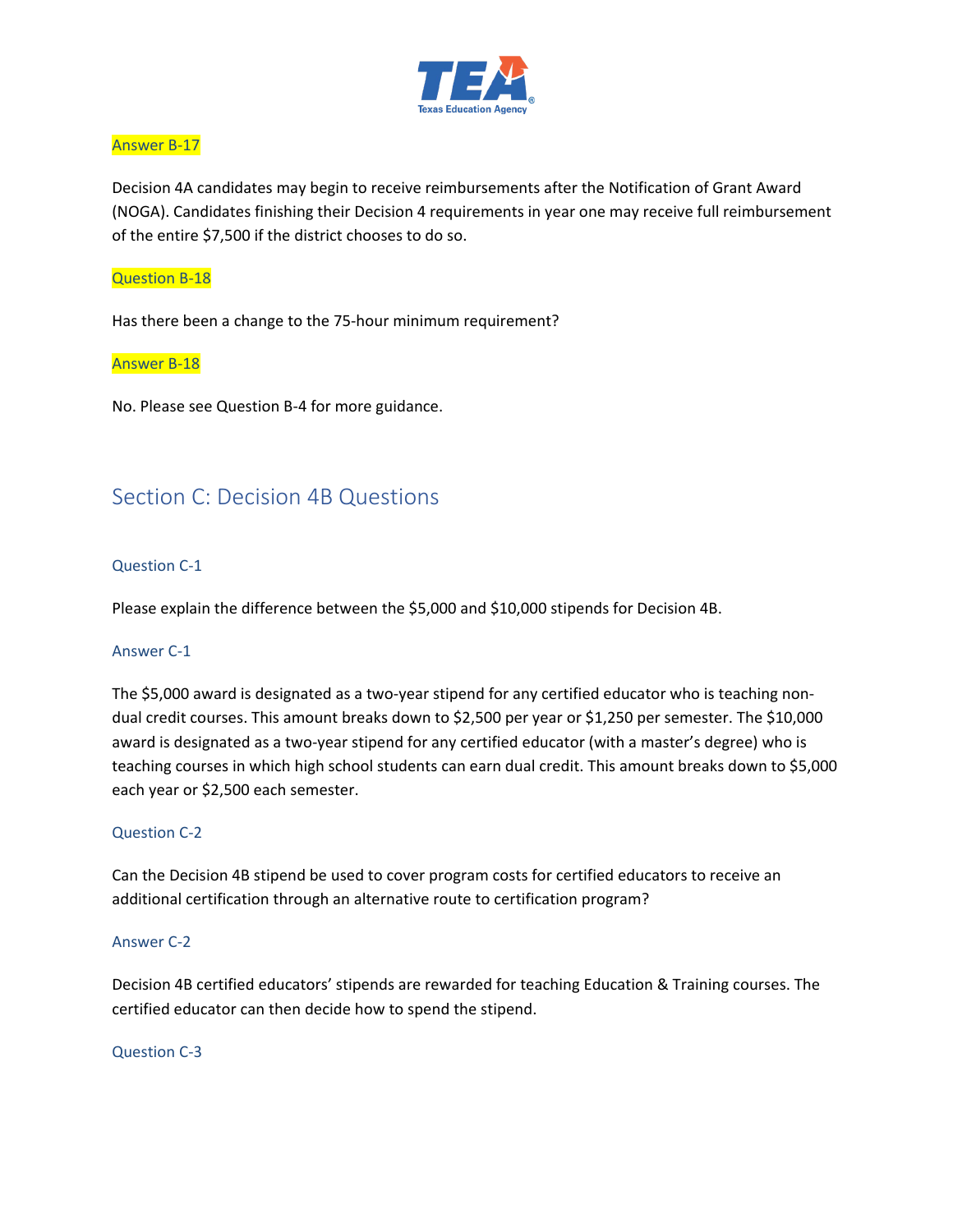

# Answer B-17

Decision 4A candidates may begin to receive reimbursements after the Notification of Grant Award (NOGA). Candidates finishing their Decision 4 requirements in year one may receive full reimbursement of the entire \$7,500 if the district chooses to do so.

# Question B-18

Has there been a change to the 75-hour minimum requirement?

# Answer B-18

No. Please see Question B-4 for more guidance.

# <span id="page-10-0"></span>Section C: Decision 4B Questions

#### Question C-1

Please explain the difference between the \$5,000 and \$10,000 stipends for Decision 4B.

#### Answer C-1

The \$5,000 award is designated as a two-year stipend for any certified educator who is teaching nondual credit courses. This amount breaks down to \$2,500 per year or \$1,250 per semester. The \$10,000 award is designated as a two-year stipend for any certified educator (with a master's degree) who is teaching courses in which high school students can earn dual credit. This amount breaks down to \$5,000 each year or \$2,500 each semester.

# Question C-2

Can the Decision 4B stipend be used to cover program costs for certified educators to receive an additional certification through an alternative route to certification program?

#### Answer C-2

Decision 4B certified educators' stipends are rewarded for teaching Education & Training courses. The certified educator can then decide how to spend the stipend.

#### Question C-3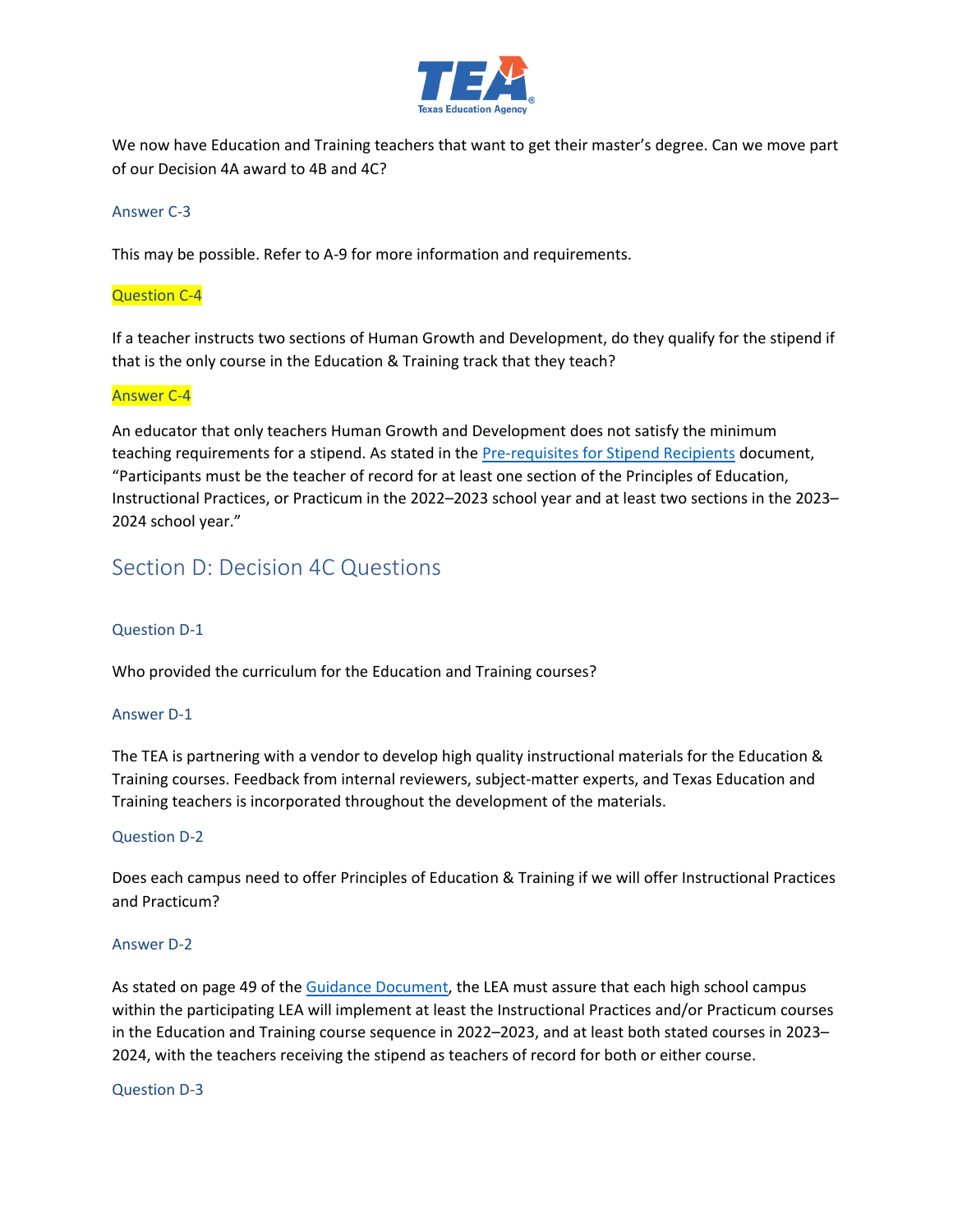

We now have Education and Training teachers that want to get their master's degree. Can we move part of our Decision 4A award to 4B and 4C?

### Answer C-3

This may be possible. Refer to A-9 for more information and requirements.

### Question C-4

If a teacher instructs two sections of Human Growth and Development, do they qualify for the stipend if that is the only course in the Education & Training track that they teach?

#### Answer C-4

An educator that only teachers Human Growth and Development does not satisfy the minimum teaching requirements for a stipend. As stated in the **Pre-requisites for Stipend Recipients** document, "Participants must be the teacher of record for at least one section of the Principles of Education, Instructional Practices, or Practicum in the 2022–2023 school year and at least two sections in the 2023– 2024 school year."

# <span id="page-11-0"></span>Section D: Decision 4C Questions

# Question D-1

Who provided the curriculum for the Education and Training courses?

#### Answer D-1

The TEA is partnering with a vendor to develop high quality instructional materials for the Education & Training courses. Feedback from internal reviewers, subject-matter experts, and Texas Education and Training teachers is incorporated throughout the development of the materials.

#### Question D-2

Does each campus need to offer Principles of Education & Training if we will offer Instructional Practices and Practicum?

#### Answer D-2

As stated on page 49 of the [Guidance Document,](https://tea.texas.gov/sites/default/files/covid/TCLAS-Guidance-Document.pdf) the LEA must assure that each high school campus within the participating LEA will implement at least the Instructional Practices and/or Practicum courses in the Education and Training course sequence in 2022–2023, and at least both stated courses in 2023– 2024, with the teachers receiving the stipend as teachers of record for both or either course.

#### Question D-3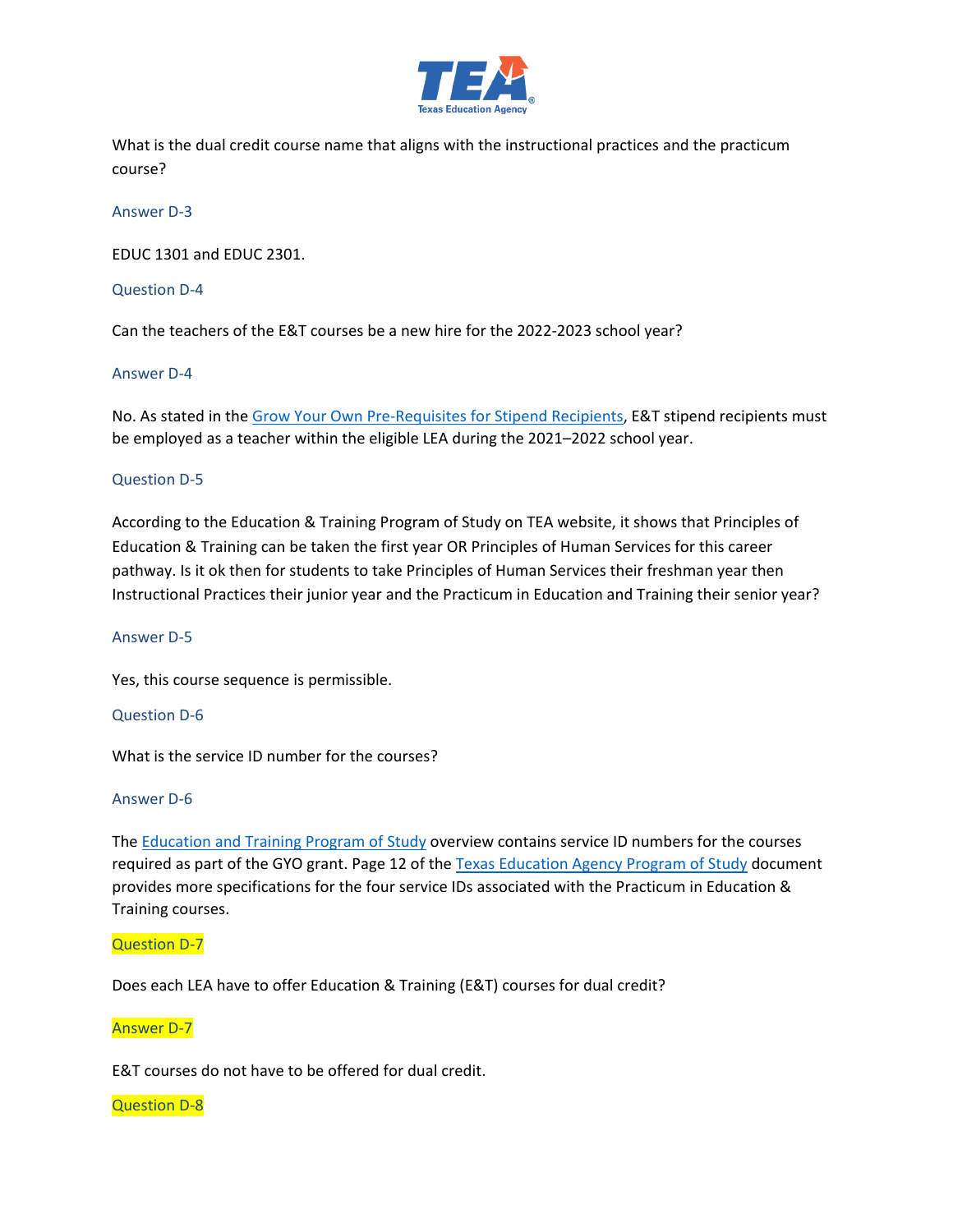

What is the dual credit course name that aligns with the instructional practices and the practicum course?

Answer D-3

EDUC 1301 and EDUC 2301.

Question D-4

Can the teachers of the E&T courses be a new hire for the 2022-2023 school year?

#### Answer D-4

No. As stated in the [Grow Your Own Pre-Requisites for Stipend Recipients,](https://tea.texas.gov/sites/default/files/gyo-stipend-recipient-pre-requisites.pdf) E&T stipend recipients must be employed as a teacher within the eligible LEA during the 2021–2022 school year.

#### Question D-5

According to the Education & Training Program of Study on TEA website, it shows that Principles of Education & Training can be taken the first year OR Principles of Human Services for this career pathway. Is it ok then for students to take Principles of Human Services their freshman year then Instructional Practices their junior year and the Practicum in Education and Training their senior year?

#### Answer D-5

Yes, this course sequence is permissible.

#### Question D-6

What is the service ID number for the courses?

#### Answer D-6

The [Education and Training Program of Study](https://tea.texas.gov/sites/default/files/TeachingTraining-ProgramOfStudy2020.pdf) overview contains service ID numbers for the courses required as part of the GYO grant. Page 12 of the Texas Education [Agency Program of Study](https://tea.texas.gov/sites/default/files/Statewide%20Programs%20of%20Study%20At%20a%20Glance%20Accessible_July_2020.pdf) document provides more specifications for the four service IDs associated with the Practicum in Education & Training courses.

Question D-7

Does each LEA have to offer Education & Training (E&T) courses for dual credit?

Answer D-7

E&T courses do not have to be offered for dual credit.

#### Question D-8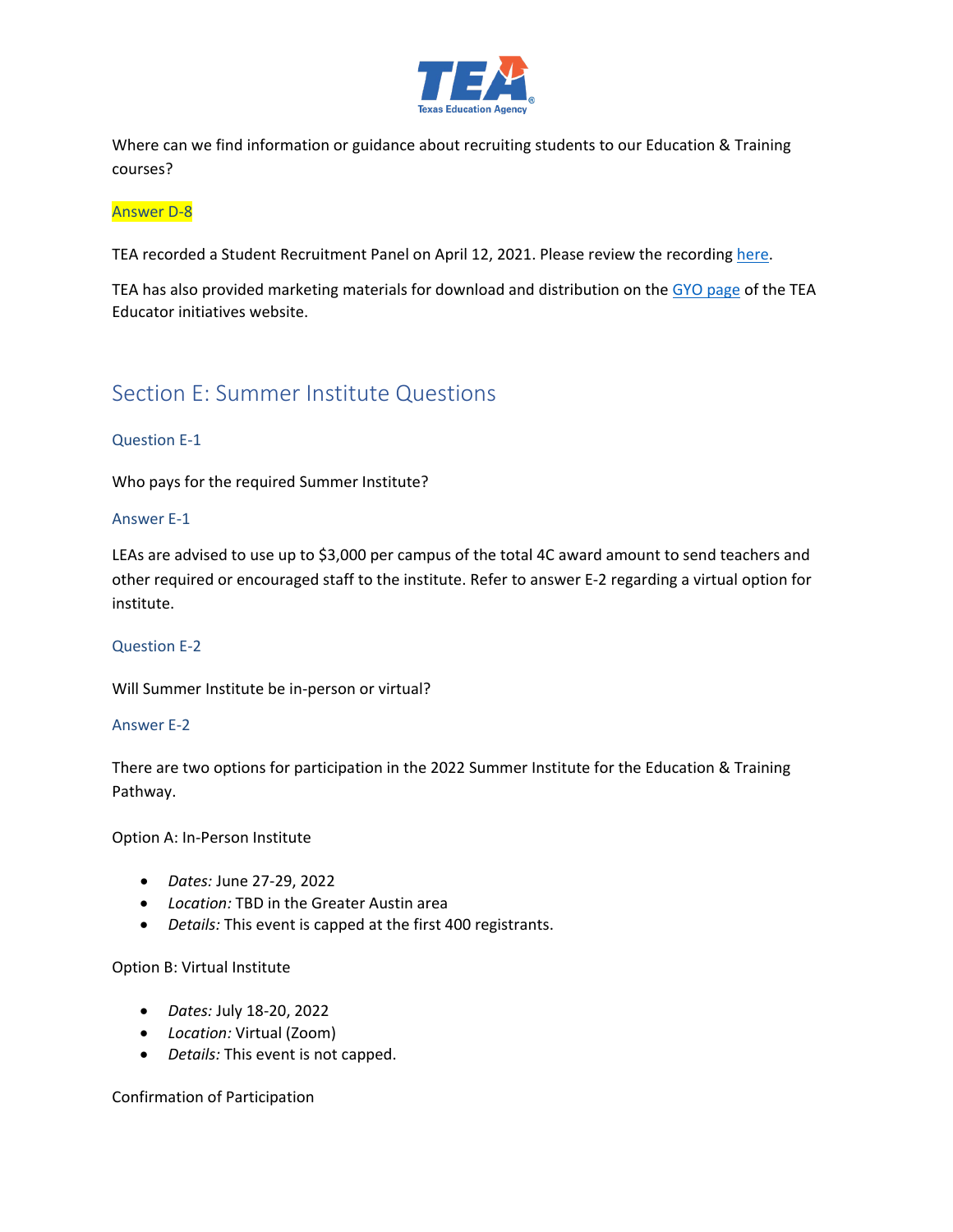

Where can we find information or guidance about recruiting students to our Education & Training courses?

#### Answer D-8

TEA recorded a Student Recruitment Panel on April 12, 2021. Please review the recordin[g here.](https://www.youtube.com/watch?v=3xoMrTL_WiU)

TEA has also provided marketing materials for download and distribution on the [GYO page](https://tea.texas.gov/texas-educators/educator-initiatives-and-performance/grow-your-own) of the TEA Educator initiatives website.

# <span id="page-13-0"></span>Section E: Summer Institute Questions

#### Question E-1

Who pays for the required Summer Institute?

#### Answer E-1

LEAs are advised to use up to \$3,000 per campus of the total 4C award amount to send teachers and other required or encouraged staff to the institute. Refer to answer E-2 regarding a virtual option for institute.

#### Question E-2

Will Summer Institute be in-person or virtual?

#### Answer E-2

There are two options for participation in the 2022 Summer Institute for the Education & Training Pathway.

Option A: In-Person Institute

- *Dates:* June 27-29, 2022
- *Location:* TBD in the Greater Austin area
- *Details:* This event is capped at the first 400 registrants.

Option B: Virtual Institute

- *Dates:* July 18-20, 2022
- *Location:* Virtual (Zoom)
- *Details:* This event is not capped.

Confirmation of Participation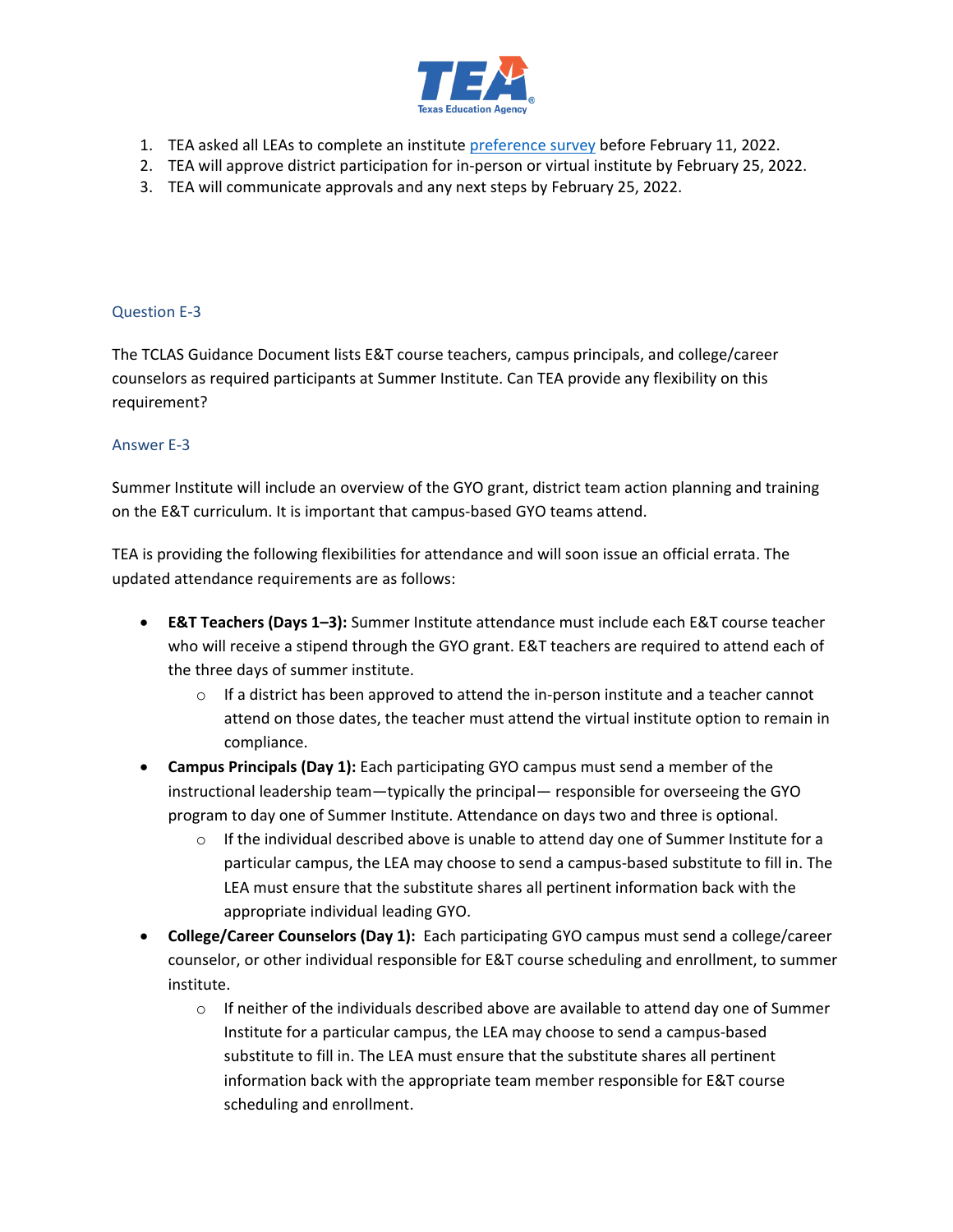

- 1. TEA asked all LEAs to complete an institute [preference survey](https://forms.gle/7hwU716Fv2RmkeFg6) before February 11, 2022.
- 2. TEA will approve district participation for in-person or virtual institute by February 25, 2022.
- 3. TEA will communicate approvals and any next steps by February 25, 2022.

# Question E-3

The TCLAS Guidance Document lists E&T course teachers, campus principals, and college/career counselors as required participants at Summer Institute. Can TEA provide any flexibility on this requirement?

# Answer E-3

Summer Institute will include an overview of the GYO grant, district team action planning and training on the E&T curriculum. It is important that campus-based GYO teams attend.

TEA is providing the following flexibilities for attendance and will soon issue an official errata. The updated attendance requirements are as follows:

- **E&T Teachers (Days 1–3):** Summer Institute attendance must include each E&T course teacher who will receive a stipend through the GYO grant. E&T teachers are required to attend each of the three days of summer institute.
	- $\circ$  If a district has been approved to attend the in-person institute and a teacher cannot attend on those dates, the teacher must attend the virtual institute option to remain in compliance.
- **Campus Principals (Day 1):** Each participating GYO campus must send a member of the instructional leadership team—typically the principal— responsible for overseeing the GYO program to day one of Summer Institute. Attendance on days two and three is optional.
	- $\circ$  If the individual described above is unable to attend day one of Summer Institute for a particular campus, the LEA may choose to send a campus-based substitute to fill in. The LEA must ensure that the substitute shares all pertinent information back with the appropriate individual leading GYO.
- **College/Career Counselors (Day 1):** Each participating GYO campus must send a college/career counselor, or other individual responsible for E&T course scheduling and enrollment, to summer institute.
	- $\circ$  If neither of the individuals described above are available to attend day one of Summer Institute for a particular campus, the LEA may choose to send a campus-based substitute to fill in. The LEA must ensure that the substitute shares all pertinent information back with the appropriate team member responsible for E&T course scheduling and enrollment.